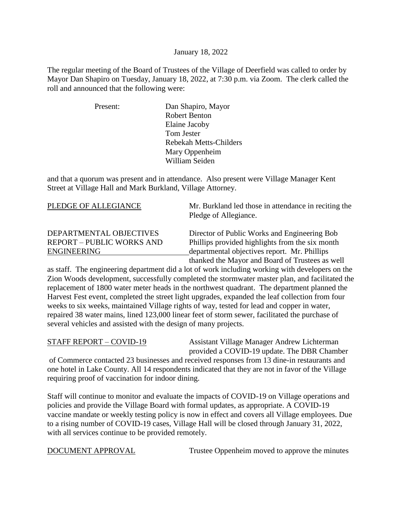#### January 18, 2022

The regular meeting of the Board of Trustees of the Village of Deerfield was called to order by Mayor Dan Shapiro on Tuesday, January 18, 2022, at 7:30 p.m. via Zoom. The clerk called the roll and announced that the following were:

| Present: | Dan Shapiro, Mayor            |
|----------|-------------------------------|
|          | <b>Robert Benton</b>          |
|          | Elaine Jacoby                 |
|          | Tom Jester                    |
|          | <b>Rebekah Metts-Childers</b> |
|          | Mary Oppenheim                |
|          | William Seiden                |

and that a quorum was present and in attendance. Also present were Village Manager Kent Street at Village Hall and Mark Burkland, Village Attorney.

| PLEDGE OF ALLEGIANCE                                        | Mr. Burkland led those in attendance in reciting the<br>Pledge of Allegiance.                   |
|-------------------------------------------------------------|-------------------------------------------------------------------------------------------------|
| DEPARTMENTAL OBJECTIVES<br><b>REPORT - PUBLIC WORKS AND</b> | Director of Public Works and Engineering Bob<br>Phillips provided highlights from the six month |
| <b>ENGINEERING</b>                                          | departmental objectives report. Mr. Phillips                                                    |
|                                                             | thanked the Mayor and Board of Trustees as well                                                 |

as staff. The engineering department did a lot of work including working with developers on the Zion Woods development, successfully completed the stormwater master plan, and facilitated the replacement of 1800 water meter heads in the northwest quadrant. The department planned the Harvest Fest event, completed the street light upgrades, expanded the leaf collection from four weeks to six weeks, maintained Village rights of way, tested for lead and copper in water, repaired 38 water mains, lined 123,000 linear feet of storm sewer, facilitated the purchase of several vehicles and assisted with the design of many projects.

STAFF REPORT – COVID-19 Assistant Village Manager Andrew Lichterman provided a COVID-19 update. The DBR Chamber

 of Commerce contacted 23 businesses and received responses from 13 dine-in restaurants and one hotel in Lake County. All 14 respondents indicated that they are not in favor of the Village requiring proof of vaccination for indoor dining.

Staff will continue to monitor and evaluate the impacts of COVID-19 on Village operations and policies and provide the Village Board with formal updates, as appropriate. A COVID-19 vaccine mandate or weekly testing policy is now in effect and covers all Village employees. Due to a rising number of COVID-19 cases, Village Hall will be closed through January 31, 2022, with all services continue to be provided remotely.

DOCUMENT APPROVAL Trustee Oppenheim moved to approve the minutes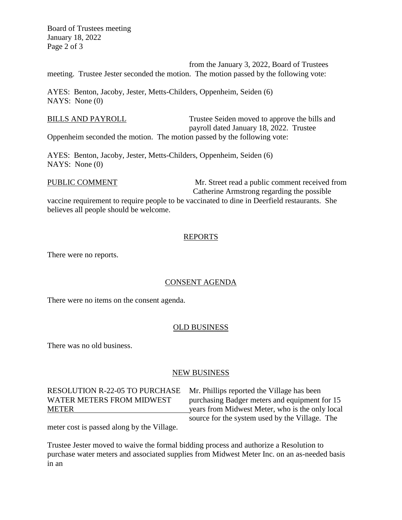Board of Trustees meeting January 18, 2022 Page 2 of 3

from the January 3, 2022, Board of Trustees meeting. Trustee Jester seconded the motion. The motion passed by the following vote:

AYES: Benton, Jacoby, Jester, Metts-Childers, Oppenheim, Seiden (6) NAYS: None (0)

BILLS AND PAYROLL Trustee Seiden moved to approve the bills and payroll dated January 18, 2022. Trustee Oppenheim seconded the motion. The motion passed by the following vote:

AYES: Benton, Jacoby, Jester, Metts-Childers, Oppenheim, Seiden (6) NAYS: None (0)

PUBLIC COMMENT Mr. Street read a public comment received from Catherine Armstrong regarding the possible

vaccine requirement to require people to be vaccinated to dine in Deerfield restaurants. She believes all people should be welcome.

#### REPORTS

There were no reports.

## CONSENT AGENDA

There were no items on the consent agenda.

#### OLD BUSINESS

There was no old business.

#### NEW BUSINESS

# RESOLUTION R-22-05 TO PURCHASE Mr. Phillips reported the Village has been

WATER METERS FROM MIDWEST purchasing Badger meters and equipment for 15 METER years from Midwest Meter, who is the only local source for the system used by the Village. The

meter cost is passed along by the Village.

Trustee Jester moved to waive the formal bidding process and authorize a Resolution to purchase water meters and associated supplies from Midwest Meter Inc. on an as-needed basis in an